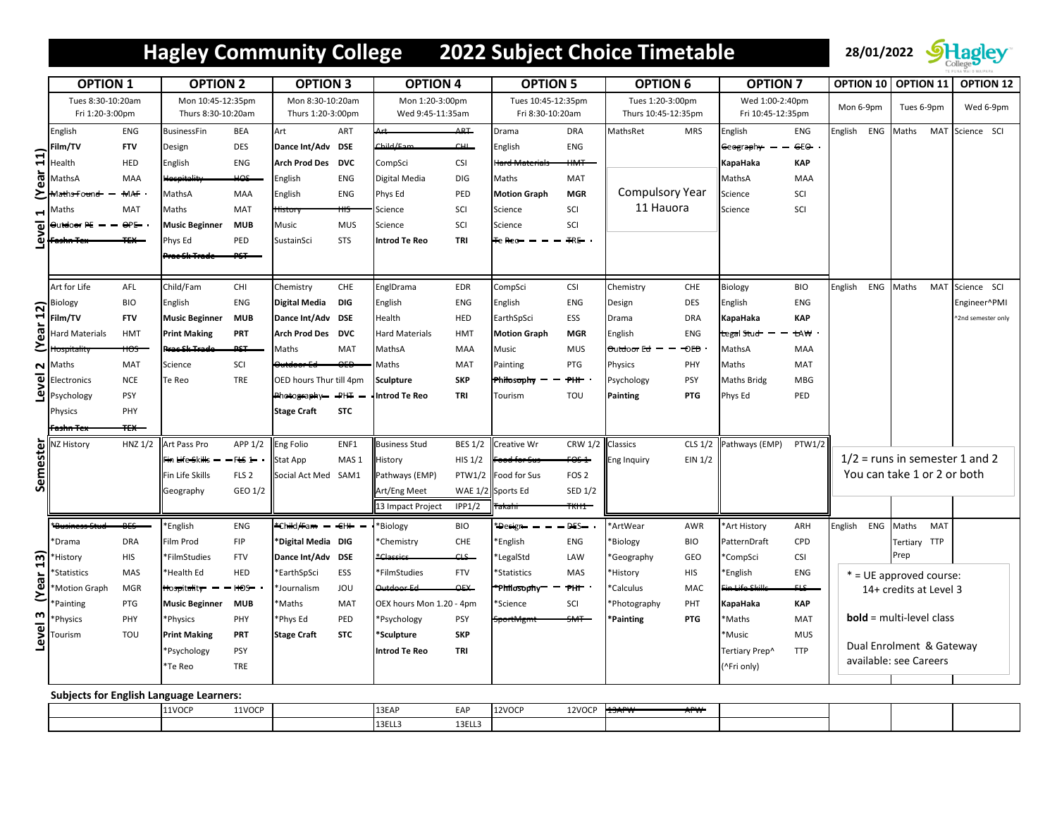## **Hagley Community College 2022 Subject Choice Timetable 28/01/2022 Stageley**



|                       | <b>OPTION 1</b>                                |                 | <b>OPTION 2</b>                         |                  | <b>OPTION 3</b>                       |                  | <b>OPTION 4</b>                     |                | <b>OPTION 5</b>                        |                   | <b>OPTION 6</b>                         |            | <b>OPTION 7</b>                      |               | OPTION 10 OPTION 11              |                             | <b>OPTION 12</b>   |
|-----------------------|------------------------------------------------|-----------------|-----------------------------------------|------------------|---------------------------------------|------------------|-------------------------------------|----------------|----------------------------------------|-------------------|-----------------------------------------|------------|--------------------------------------|---------------|----------------------------------|-----------------------------|--------------------|
|                       | Tues 8:30-10:20am<br>Fri 1:20-3:00pm           |                 | Mon 10:45-12:35pm<br>Thurs 8:30-10:20am |                  | Mon 8:30-10:20am<br>Thurs 1:20-3:00pm |                  | Mon 1:20-3:00pm<br>Wed 9:45-11:35am |                | Tues 10:45-12:35pm<br>Fri 8:30-10:20am |                   | Tues 1:20-3:00pm<br>Thurs 10:45-12:35pm |            | Wed 1:00-2:40pm<br>Fri 10:45-12:35pm |               | Mon 6-9pm                        | Tues 6-9pm                  | Wed 6-9pm          |
| ar(11)                | English                                        | ENG             | <b>BusinessFin</b>                      | BEA              | Art                                   | ART              | Art                                 | ARF            | Drama                                  | <b>DRA</b>        | MathsRet                                | <b>MRS</b> | English                              | ENG           | English ENG                      | Maths                       | MAT Science SCI    |
|                       | Film/TV                                        | <b>FTV</b>      | Design                                  | <b>DES</b>       | Dance Int/Adv DSE                     |                  | Child/En                            | CHI            | English                                | ENG               |                                         |            | <del>G</del> eograph <del>y-</del>   | He            |                                  |                             |                    |
|                       | Health                                         | HED             | English                                 | <b>ENG</b>       | Arch Prod Des DVC                     |                  | CompSci                             | <b>CSI</b>     | tard Material:                         | $M +$             |                                         |            | KapaHaka                             | <b>KAP</b>    |                                  |                             |                    |
|                       | MathsA                                         | MAA             | Hespitality                             | HOS              | English                               | ENG              | Digital Media                       | DIG            | Maths                                  | MAT               |                                         |            | MathsA                               | MAA           |                                  |                             |                    |
| Σ                     | Maths Found                                    | <b>MAF</b>      | MathsA                                  | MAA              | English                               | ENG              | Phys Ed                             | PED            | <b>Motion Graph</b>                    | <b>MGR</b>        | <b>Compulsory Year</b>                  |            | Science                              | SCI           |                                  |                             |                    |
| $\blacktriangleright$ | Maths                                          | MAT             | Maths                                   | MAT              | <del>listory</del>                    |                  | Science                             | SCI            | Science                                | SCI               | 11 Hauora                               |            | Science                              | SCI           |                                  |                             |                    |
| ᠊ᠣ                    | Əutdoər PE                                     | $\Theta$ PE     | <b>Music Beginner</b>                   | <b>MUB</b>       | Music                                 | <b>MUS</b>       | Science                             | SCI            | Science                                | SCI               |                                         |            |                                      |               |                                  |                             |                    |
| َق                    |                                                |                 | Phys Ed                                 | PED              | SustainSci                            | <b>STS</b>       | Introd Te Reo                       | TRI            | Te Reo-                                | $HR -$            |                                         |            |                                      |               |                                  |                             |                    |
|                       |                                                |                 | <del>rac Sk Trade</del>                 | PST              |                                       |                  |                                     |                |                                        |                   |                                         |            |                                      |               |                                  |                             |                    |
|                       | Art for Life                                   | AFL             | Child/Fam                               | CHI              | Chemistry                             | CHE              | EnglDrama                           | EDR            | CompSci                                | <b>CSI</b>        | Chemistry                               | CHE        | Biology                              | <b>BIO</b>    | English                          | ENG Maths<br>MAT            | Science SCI        |
|                       | <b>Biology</b>                                 | <b>BIO</b>      | English                                 | <b>ENG</b>       | Digital Media                         | <b>DIG</b>       | English                             | ENG            | English                                | ENG               | Design                                  | DES        | English                              | <b>ENG</b>    |                                  |                             | Engineer^PMI       |
| ear 12)               | Film/TV                                        | <b>FTV</b>      | <b>Music Beginner</b>                   | <b>MUB</b>       | Dance Int/Adv DSE                     |                  | Health                              | HED            | EarthSpSci                             | ESS               | Drama                                   | <b>DRA</b> | KapaHaka                             | KAP           |                                  |                             | ^2nd semester only |
|                       | Hard Materials                                 | <b>HMT</b>      | <b>Print Making</b>                     | PRT              | Arch Prod Des DVC                     |                  | <b>Hard Materials</b>               | <b>HMT</b>     | <b>Motion Graph</b>                    | <b>MGR</b>        | English                                 | ENG        | tegal Stud                           | tA₩           |                                  |                             |                    |
| ٤                     |                                                | <del>HOS.</del> | kac Sk Trade                            | حوم              | Maths                                 | MAT              | MathsA                              | MAA            | Music                                  | <b>MUS</b>        | <del>O</del> utdoor Ed                  | -OED       | MathsA                               | MAA           |                                  |                             |                    |
| $\mathbf{\Omega}$     | Maths                                          | MAT             | Science                                 | SCI              | <del>)utdoor Ed</del>                 | $\theta$         | Maths                               | <b>MAT</b>     | Painting                               | PTG               | Physics                                 | PHY        | Maths                                | MAT           |                                  |                             |                    |
| Level                 | Electronics                                    | <b>NCE</b>      | Te Reo                                  | TRE              | <b>OED hours Thur till 4pm</b>        |                  | <b>Sculpture</b>                    | <b>SKP</b>     | Philosophy                             | <b>PHF</b>        | Psychology                              | PSY        | <b>Maths Bridg</b>                   | <b>MBG</b>    |                                  |                             |                    |
|                       | Psychology                                     | PSY             |                                         |                  | Photography-                          | $+HH$            | Introd Te Reo                       | TRI            | Tourism                                | TOU               | Painting                                | <b>PTG</b> | Phys Ed                              | PED           |                                  |                             |                    |
|                       | Physics                                        | PHY             |                                         |                  | <b>Stage Craft</b>                    | <b>STC</b>       |                                     |                |                                        |                   |                                         |            |                                      |               |                                  |                             |                    |
|                       | <del>Fashn Tex</del>                           | $+ +$           |                                         |                  |                                       |                  |                                     |                |                                        |                   |                                         |            |                                      |               |                                  |                             |                    |
|                       | Semester<br>Semestery                          | HNZ 1/2         | Art Pass Pro                            | APP 1/2          | Eng Folio                             | ENF1             | <b>Business Stud</b>                | <b>BES 1/2</b> | Creative Wr                            | CRW 1/2           | Classics                                |            | CLS 1/2 Pathways (EMP)               | <b>PTW1/2</b> |                                  |                             |                    |
|                       |                                                |                 | Fin <del>Li</del> fe <del>S</del> kills | $-FES$ 1         | Stat App                              | MAS <sub>1</sub> | History                             | <b>HIS 1/2</b> | <del>`ood for Sus</del>                | $FOS-1$           | EIN 1/2<br>Eng Inquiry                  |            |                                      |               | $1/2$ = runs in semester 1 and 2 |                             |                    |
|                       |                                                |                 | Fin Life Skills                         | FLS <sub>2</sub> | Social Act Med SAM1                   |                  | Pathways (EMP)                      |                | PTW1/2 Food for Sus                    | FOS <sub>2</sub>  |                                         |            |                                      |               |                                  | You can take 1 or 2 or both |                    |
|                       |                                                |                 | Geography                               | GEO 1/2          |                                       |                  | Art/Eng Meet                        |                | WAE 1/2 Sports Ed                      | SED 1/2           |                                         |            |                                      |               |                                  |                             |                    |
|                       |                                                |                 |                                         |                  |                                       |                  | 13 Impact Project                   | IPP1/2         |                                        | <del>"KH1 -</del> |                                         |            |                                      |               |                                  |                             |                    |
|                       | <del>"Busines:</del>                           | $BES-$          | English*                                | ENG              | *Child/Fam - EIH                      |                  | *Biology                            | <b>BIO</b>     | * <del>Design —</del>                  | $-$ DES $-$       | 'ArtWear                                | AWR        | *Art History                         | ARH           | English ENG Maths                | MAT                         |                    |
|                       | *Drama                                         | <b>DRA</b>      | Film Prod                               | FIP              | *Digital Media DIG                    |                  | *Chemistry                          | CHE            | *English                               | ENG               | 'Biology                                | <b>BIO</b> | PatternDraft                         | CPD           |                                  | Tertiary TTP                |                    |
|                       | 'History                                       | <b>HIS</b>      | *FilmStudies                            | <b>FTV</b>       | Dance Int/Adv DSE                     |                  |                                     | CES            | *LegalStd                              | LAW               | 'Geography                              | GEO        | *CompSci                             | <b>CSI</b>    |                                  | Prep                        |                    |
|                       | *Statistics                                    | MAS             | *Health Ed                              | HED              | <b>EarthSpSci</b>                     | ESS              | *FilmStudies                        | <b>FTV</b>     | *Statistics                            | MAS               | *History                                | <b>HIS</b> | <b>English</b>                       | ENG           |                                  | * = UE approved course:     |                    |
| (Year 13)             | <b>Motion Graph</b>                            | <b>MGR</b>      | Hospitality                             | $-$ HOS $-$      | Journalism                            | JOU              | Outdoor Ed                          | OEX-           | *Philosophy <sup>-</sup>               | PHF               | *Calculus                               | MAC        | Fi <del>n Life Skill</del>           | FLS-          | 14+ credits at Level 3           |                             |                    |
|                       | Painting                                       | PTG             | <b>Music Beginner</b>                   | <b>MUB</b>       | <b>Maths</b>                          | MAT              | OEX hours Mon 1.20 - 4pm            |                | *Science                               | SCI               | Photography                             | PHT        | KapaHaka                             | <b>KAP</b>    |                                  |                             |                    |
| Level 3               | Physics                                        | PHY             | *Physics                                | PHY              | *Phys Ed                              | PED              | *Psychology                         | <b>PSY</b>     | <del>SportMgm</del>                    | <del>SMT</del>    | *Painting                               | <b>PTG</b> | *Maths                               | MAT           |                                  | $bold = multi-level class$  |                    |
|                       | <b>Tourism</b>                                 | TOU             | <b>Print Making</b>                     | PRT              | <b>Stage Craft</b>                    | <b>STC</b>       | *Sculpture                          | <b>SKP</b>     |                                        |                   |                                         |            | <b>Music</b>                         | <b>MUS</b>    |                                  | Dual Enrolment & Gateway    |                    |
|                       |                                                |                 | *Psychology                             | PSY              |                                       |                  | Introd Te Reo                       | TRI            |                                        |                   |                                         |            | Tertiary Prep^                       | <b>TTP</b>    |                                  | available: see Careers      |                    |
|                       |                                                |                 | *Te Reo                                 | TRE              |                                       |                  |                                     |                |                                        |                   |                                         |            | (^Fri only)                          |               |                                  |                             |                    |
|                       | <b>Subjects for English Language Learners:</b> |                 |                                         |                  |                                       |                  |                                     |                |                                        |                   |                                         |            |                                      |               |                                  |                             |                    |
|                       |                                                |                 | 111000                                  | 111000           |                                       |                  | 1222                                |                | 1210000                                | 121000            |                                         |            |                                      |               |                                  |                             |                    |

| 11VOCP | 11VOCP | 13EAP  | EAP    | 12VOCF | 12VOCP | 13APW<br>$\overline{\phantom{a}}$<br><b>APVV</b> |  |  |
|--------|--------|--------|--------|--------|--------|--------------------------------------------------|--|--|
|        |        | 13ELL3 | 13ELL3 |        |        |                                                  |  |  |